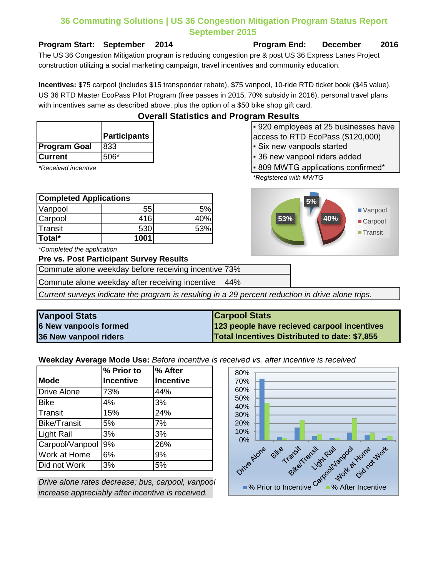## **36 Commuting Solutions | US 36 Congestion Mitigation Program Status Report September 2015**

**Program Start: September 2014 Program End: December 2016**

The US 36 Congestion Mitigation program is reducing congestion pre & post US 36 Express Lanes Project construction utilizing a social marketing campaign, travel incentives and community education.

**Incentives:** \$75 carpool (includes \$15 transponder rebate), \$75 vanpool, 10-ride RTD ticket book (\$45 value), US 36 RTD Master EcoPass Pilot Program (free passes in 2015, 70% subsidy in 2016), personal travel plans with incentives same as described above, plus the option of a \$50 bike shop gift card.

**Overall Statistics and Program Results**

|                     | Participants |
|---------------------|--------------|
| <b>Program Goal</b> | 833          |
| lCurrent            | $506*$       |

| <b>Completed Applications</b> |      |     |
|-------------------------------|------|-----|
| Vanpool                       | 55   | 5%  |
| Carpool                       | 416  | 40% |
| Transit                       | 530  | 53% |
| Total*                        | 1001 |     |

*\*Completed the application*

**Pre vs. Post Participant Survey Results**

Commute alone weekday before receiving incentive 73%

Commute alone weekday after receiving incentive 44%

*Current surveys indicate the program is resulting in a 29 percent reduction in drive alone trips.*

| <b>Vanpool Stats</b>         | <b>Carpool Stats</b>                          |
|------------------------------|-----------------------------------------------|
| <b>6 New vanpools formed</b> | 123 people have recieved carpool incentives   |
| 36 New vanpool riders        | Total Incentives Distributed to date: \$7,855 |

**Weekday Average Mode Use:** *Before incentive is received vs. after incentive is received*

|                     | $\sqrt{6}$ Prior to | % After   |
|---------------------|---------------------|-----------|
| <b>Mode</b>         | <b>Incentive</b>    | Incentive |
| <b>Drive Alone</b>  | 73%                 | 44%       |
| <b>Bike</b>         | 4%                  | 3%        |
| Transit             | 15%                 | 24%       |
| <b>Bike/Transit</b> | 5%                  | 7%        |
| <b>Light Rail</b>   | 3%                  | 3%        |
| Carpool/Vanpool     | 9%                  | 26%       |
| Work at Home        | 6%                  | 9%        |
| Did not Work        | 3%                  | 5%        |

*Drive alone rates decrease; bus, carpool, vanpool increase appreciably after incentive is received.*



▪ 920 employees at 25 businesses have access to RTD EcoPass (\$120,000) **Six new vanpools started** 

- **36 new vanpool riders added**
- \*Received incentive **The Confirmed and Confirmed F** 809 MWTG applications confirmed \*
	- *\*Registered with MWTG*

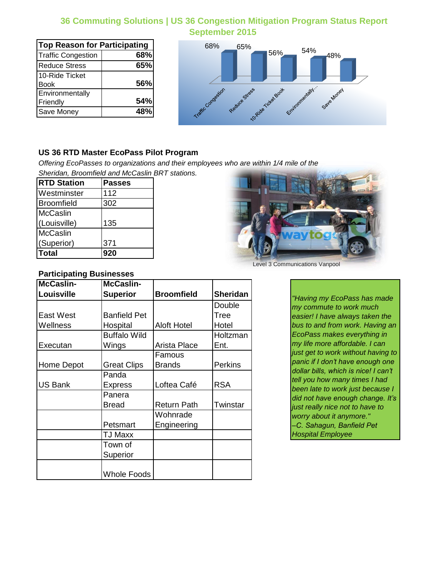## **36 Commuting Solutions | US 36 Congestion Mitigation Program Status Report September 2015**

| <b>Top Reason for Participating</b> |     |
|-------------------------------------|-----|
| <b>Traffic Congestion</b>           | 68% |
| <b>Reduce Stress</b>                | 65% |
| 10-Ride Ticket                      |     |
| Book                                | 56% |
| Environmentally                     |     |
| Friendly                            | 54% |
| Save Money                          | 48% |



## **US 36 RTD Master EcoPass Pilot Program**

*Offering EcoPasses to organizations and their employees who are within 1/4 mile of the Sheridan, Broomfield and McCaslin BRT stations.*

| <b>RTD Station</b> | <b>Passes</b> |
|--------------------|---------------|
| Westminster        | 112           |
| Broomfield         | 302           |
| McCaslin           |               |
| (Louisville)       | 135           |
| McCaslin           |               |
| (Superior)         | 371           |
| Total              | 920           |

### **Participating Businesses**

| McCaslin-      | <b>McCaslin-</b>    |                    |                 |
|----------------|---------------------|--------------------|-----------------|
| Louisville     | <b>Superior</b>     | <b>Broomfield</b>  | <b>Sheridan</b> |
|                |                     |                    | Double          |
| East West      | <b>Banfield Pet</b> |                    | <b>Tree</b>     |
| Wellness       | Hospital            | <b>Aloft Hotel</b> | Hotel           |
|                | <b>Buffalo Wild</b> |                    | Holtzman        |
| Executan       | Wings               | Arista Place       | Ent.            |
|                |                     | Famous             |                 |
| Home Depot     | <b>Great Clips</b>  | <b>Brands</b>      | <b>Perkins</b>  |
|                | Panda               |                    |                 |
| <b>US Bank</b> | Express             | Loftea Café        | <b>RSA</b>      |
|                | Panera              |                    |                 |
|                | <b>Bread</b>        | <b>Return Path</b> | Twinstar        |
|                |                     | Wohnrade           |                 |
|                | Petsmart            | Engineering        |                 |
|                | TJ Maxx             |                    |                 |
|                | Town of             |                    |                 |
|                | Superior            |                    |                 |
|                |                     |                    |                 |
|                | <b>Whole Foods</b>  |                    |                 |



Level 3 Communications Vanpool

*"Having my EcoPass has made my commute to work much easier! I have always taken the bus to and from work. Having an EcoPass makes everything in my life more affordable. I can just get to work without having to panic if I don't have enough one dollar bills, which is nice! I can't tell you how many times I had been late to work just because I did not have enough change. It's just really nice not to have to worry about it anymore." –C. Sahagun, Banfield Pet Hospital Employee*